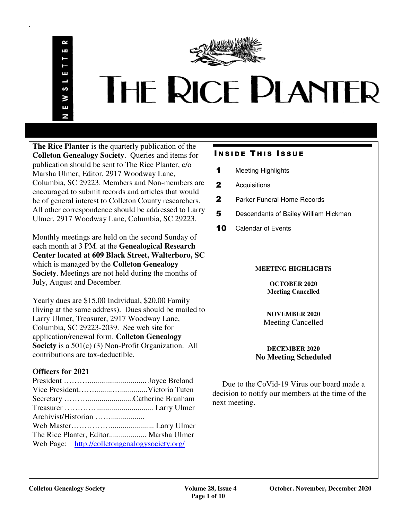.



# THE RICE PLANTER

**The Rice Planter** is the quarterly publication of the **Colleton Genealogy Society**. Queries and items for publication should be sent to The Rice Planter, c/o Marsha Ulmer, Editor, 2917 Woodway Lane, Columbia, SC 29223. Members and Non-members are encouraged to submit records and articles that would be of general interest to Colleton County researchers. All other correspondence should be addressed to Larry Ulmer, 2917 Woodway Lane, Columbia, SC 29223.

Monthly meetings are held on the second Sunday of each month at 3 PM. at the **Genealogical Research Center located at 609 Black Street, Walterboro, SC**  which is managed by the **Colleton Genealogy Society**. Meetings are not held during the months of July, August and December.

Yearly dues are \$15.00 Individual, \$20.00 Family (living at the same address). Dues should be mailed to Larry Ulmer, Treasurer, 2917 Woodway Lane, Columbia, SC 29223-2039. See web site for application/renewal form. **Colleton Genealogy Society** is a 501(c) (3) Non-Profit Organization. All contributions are tax-deductible.

# **Officers for 2021**

| Web Page: http://colletongenalogysociety.org/ |  |
|-----------------------------------------------|--|
|                                               |  |

# **INSIDE THIS ISSUE**

- 1 Meeting Highlights
- 2 Acquisitions
- 2 Parker Funeral Home Records
- 5 Descendants of Bailey William Hickman
- 10 Calendar of Events

# **MEETING HIGHLIGHTS**

**OCTOBER 2020 Meeting Cancelled** 

# **NOVEMBER 2020**  Meeting Cancelled

# **DECEMBER 2020 No Meeting Scheduled**

 Due to the CoVid-19 Virus our board made a decision to notify our members at the time of the next meeting.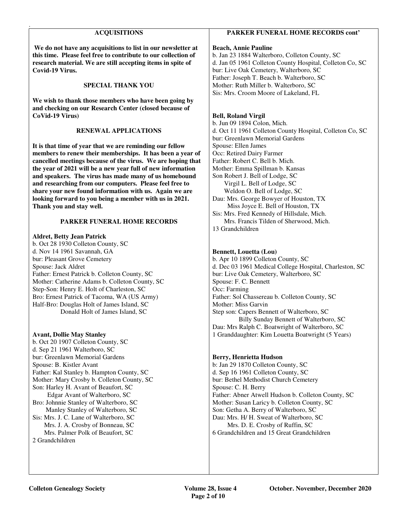# **ACQUISITIONS**

 **We do not have any acquisitions to list in our newsletter at this time. Please feel free to contribute to our collection of research material. We are still accepting items in spite of Covid-19 Virus.** 

#### **SPECIAL THANK YOU**

**We wish to thank those members who have been going by and checking on our Research Center (closed because of CoVid-19 Virus)** 

#### **RENEWAL APPLICATIONS**

**It is that time of year that we are reminding our fellow members to renew their memberships. It has been a year of cancelled meetings because of the virus. We are hoping that the year of 2021 will be a new year full of new information and speakers. The virus has made many of us homebound and researching from our computers. Please feel free to share your new found information with us. Again we are looking forward to you being a member with us in 2021. Thank you and stay well.** 

#### **PARKER FUNERAL HOME RECORDS**

#### **Aldret, Betty Jean Patrick**

.

b. Oct 28 1930 Colleton County, SC d. Nov 14 1961 Savannah, GA bur: Pleasant Grove Cemetery Spouse: Jack Aldret Father: Ernest Patrick b. Colleton County, SC Mother: Catherine Adams b. Colleton County, SC Step-Son: Henry E. Holt of Charleston, SC Bro: Ernest Patrick of Tacoma, WA (US Army) Half-Bro: Douglas Holt of James Island, SC Donald Holt of James Island, SC

#### **Avant, Dollie May Stanley**

b. Oct 20 1907 Colleton County, SC d. Sep 21 1961 Walterboro, SC bur: Greenlawn Memorial Gardens Spouse: B. Kistler Avant Father: Kal Stanley b. Hampton County, SC Mother: Mary Crosby b. Colleton County, SC Son: Harley H. Avant of Beaufort, SC Edgar Avant of Walterboro, SC Bro: Johnnie Stanley of Walterboro, SC Manley Stanley of Walterboro, SC Sis: Mrs. J. C. Lane of Walterboro, SC Mrs. J. A. Crosby of Bonneau, SC Mrs. Palmer Polk of Beaufort, SC 2 Grandchildren

# **PARKER FUNERAL HOME RECORDS cont'**

# **Beach, Annie Pauline**

b. Jan 23 1884 Walterboro, Colleton County, SC d. Jan 05 1961 Colleton County Hospital, Colleton Co, SC bur: Live Oak Cemetery, Walterboro, SC Father: Joseph T. Beach b. Walterboro, SC Mother: Ruth Miller b. Walterboro, SC Sis: Mrs. Croom Moore of Lakeland, FL

#### **Bell, Roland Virgil**

b. Jun 09 1894 Colon, Mich. d. Oct 11 1961 Colleton County Hospital, Colleton Co, SC bur: Greenlawn Memorial Gardens Spouse: Ellen James Occ: Retired Dairy Farmer Father: Robert C. Bell b. Mich. Mother: Emma Spillman b. Kansas Son Robert J. Bell of Lodge, SC Virgil L. Bell of Lodge, SC Weldon O. Bell of Lodge, SC Dau: Mrs. George Bowyer of Houston, TX Miss Joyce E. Bell of Houston, TX Sis: Mrs. Fred Kennedy of Hillsdale, Mich. Mrs. Francis Tilden of Sherwood, Mich. 13 Grandchildren

#### **Bennett, Louetta (Lou)**

b. Apr 10 1899 Colleton County, SC d. Dec 03 1961 Medical College Hospital, Charleston, SC bur: Live Oak Cemetery, Walterboro, SC Spouse: F. C. Bennett Occ: Farming Father: Sol Chassereau b. Colleton County, SC Mother: Miss Garvin Step son: Capers Bennett of Walterboro, SC Billy Sunday Bennett of Walterboro, SC Dau: Mrs Ralph C. Boatwright of Walterboro, SC 1 Granddaughter: Kim Louetta Boatwright (5 Years)

#### **Berry, Henrietta Hudson**

b: Jan 29 1870 Colleton County, SC d. Sep 16 1961 Colleton County, SC bur: Bethel Methodist Church Cemetery Spouse: C. H. Berry Father: Abner Atwell Hudson b. Colleton County, SC Mother: Susan Laricy b. Colleton County, SC Son: Getha A. Berry of Walterboro, SC Dau: Mrs. H/ H. Sweat of Walterboro, SC Mrs. D. E. Crosby of Ruffin, SC 6 Grandchildren and 15 Great Grandchildren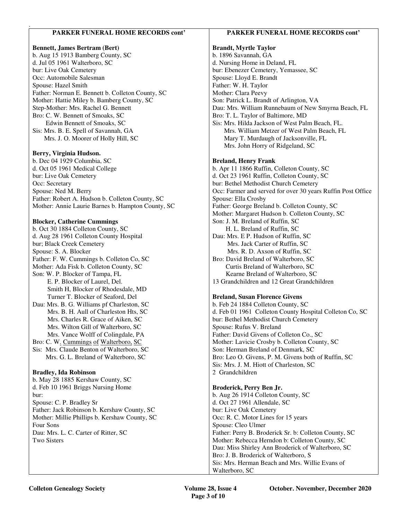# **PARKER FUNERAL HOME RECORDS cont'**

# **Bennett, James Bertram (Bert)**

.

b. Aug 15 1913 Bamberg County, SC d. Jul 05 1961 Walterboro, SC bur: Live Oak Cemetery Occ: Automobile Salesman Spouse: Hazel Smith Father: Norman E. Bennett b. Colleton County, SC Mother: Hattie Miley b. Bamberg County, SC Step-Mother: Mrs. Rachel G. Bennett Bro: C. W. Bennett of Smoaks, SC Edwin Bennett of Smoaks, SC Sis: Mrs. B. E. Spell of Savannah, GA Mrs. J. O. Moorer of Holly Hill, SC

# **Berry, Virginia Hudson.**

b. Dec 04 1929 Columbia, SC d. Oct 05 1961 Medical College bur: Live Oak Cemetery Occ: Secretary Spouse: Ned M. Berry Father: Robert A. Hudson b. Colleton County, SC Mother: Annie Laurie Barnes b. Hampton County, SC

# **Blocker, Catherine Cummings**

b. Oct 30 1884 Colleton County, SC d. Aug 28 1961 Colleton County Hospital bur; Black Creek Cemetery Spouse: S. A. Blocker Father: F. W. Cummings b. Colleton Co, SC Mother: Ada Fisk b. Colleton County, SC Son: W. P. Blocker of Tampa, FL E. P. Blocker of Laurel, Del. Smith H, Blocker of Rhodesdale, MD Turner T. Blocker of Seaford, Del Dau: Mrs. B. G. Williams pf Charleston, SC Mrs. B. H. Aull of Charleston Hts, SC Mrs. Charles R. Grace of Aiken, SC Mrs. Wilton Gill of Walterboro, SC Mrs. Vance Wolff of Colingdale, PA Bro: C. W. Cummings of Walterboro, SC Sis: Mrs. Claude Benton of Walterboro, SC Mrs. G. L. Breland of Walterboro, SC **Bradley, Ida Robinson**  b. May 28 1885 Kershaw County, SC

d. Feb 10 1961 Briggs Nursing Home bur: Spouse: C. P. Bradley Sr Father: Jack Robinson b. Kershaw County, SC Mother: Millie Phillips b. Kershaw County, SC Four Sons Dau: Mrs. L. C. Carter of Ritter, SC Two Sisters

# **PARKER FUNERAL HOME RECORDS cont'**

# **Brandt, Myrtle Taylor**

b. 1896 Savannah, GA d. Nursing Home in Deland, FL bur: Ebenezer Cemetery, Yemassee, SC Spouse: Lloyd E. Brandt Father: W. H. Taylor Mother: Clara Peevy Son: Patrick L. Brandt of Arlington, VA Dau: Mrs. William Runnebaum of New Smyrna Beach, FL Bro: T. L. Taylor of Baltimore, MD Sis: Mrs. Hilda Jackson of West Palm Beach, FL. Mrs. William Metzer of West Palm Beach, FL Mary T. Murdaugh of Jacksonville, FL Mrs. John Horry of Ridgeland, SC

# **Breland, Henry Frank**

b. Apr 11 1866 Ruffin, Colleton County, SC d. Oct 23 1961 Ruffin, Colleton County, SC bur: Bethel Methodist Church Cemetery Occ: Farmer and served for over 30 years Ruffin Post Office Spouse: Ella Crosby Father: George Breland b. Colleton County, SC Mother: Margaret Hudson b. Colleton County, SC Son: J. M. Breland of Ruffin, SC H. L. Breland of Ruffin, SC Dau: Mrs. E P. Hudson of Ruffin, SC Mrs. Jack Carter of Ruffin, SC Mrs. R. D. Axson of Ruffin, SC Bro: David Breland of Walterboro, SC Curtis Breland of Walterboro, SC Kearne Breland of Walterboro, SC 13 Grandchildren and 12 Great Grandchildren

# **Breland, Susan Florence Givens**

b. Feb 24 1884 Colleton County, SC d. Feb 01 1961 Colleton County Hospital Colleton Co, SC bur: Bethel Methodist Church Cemetery Spouse: Rufus V. Breland Father: David Givens of Colleton Co., SC Mother: Lavicie Crosby b. Colleton County, SC Son: Herman Breland of Denmark, SC Bro: Leo O. Givens, P. M. Givens both of Ruffin, SC Sis: Mrs. J. M. Hiott of Charleston, SC 2 Grandchildren

# **Broderick, Perry Ben Jr.**

b. Aug 26 1914 Colleton County, SC d. Oct 27 1961 Allendale, SC bur: Live Oak Cemetery Occ: R. C. Motor Lines for 15 years Spouse: Cleo Ulmer Father: Perry B. Broderick Sr. b: Colleton County, SC Mother: Rebecca Herndon b: Colleton County, SC Dau: Miss Shirley Ann Broderick of Walterboro, SC Bro: J. B. Broderick of Walterboro, S Sis: Mrs. Herman Beach and Mrs. Willie Evans of Walterboro, SC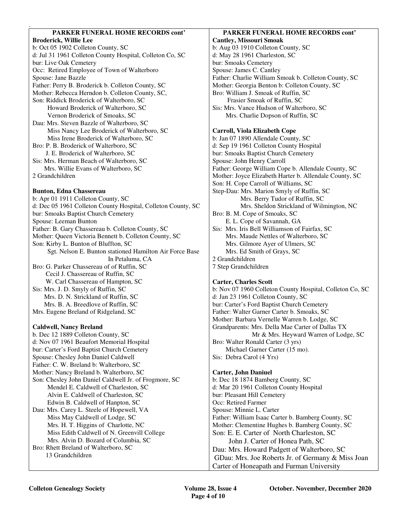# **PARKER FUNERAL HOME RECORDS cont'**

.

**Broderick, Willie Lee**  b: Oct 05 1902 Colleton County, SC d: Jul 31 1961 Colleton County Hospital, Colleton Co, SC bur: Live Oak Cemetery Occ: Retired Employee of Town of Walterboro Spouse: Jane Bazzle Father: Perry B. Broderick b. Colleton County, SC Mother: Rebecca Herndon b. Colleton County, SC, Son: Riddick Broderick of Walterboro, SC Howard Broderick of Walterboro, SC Vernon Broderick of Smoaks, SC Dau: Mrs. Steven Bazzle of Walterboro, SC Miss Nancy Lee Broderick of Walterboro, SC Miss Irene Broderick of Walterboro, SC Bro: P. B. Broderick of Walterboro, SC J. E. Broderick of Walterboro, SC Sis: Mrs. Herman Beach of Walterboro, SC Mrs. Willie Evans of Walterboro, SC 2 Grandchildren **Bunton, Edna Chassereau**  b: Apr 01 1911 Colleton County, SC d: Dec 05 1961 Colleton County Hospital, Colleton County, SC bur: Smoaks Baptist Church Cemetery Spouse: Leeman Bunton Father: B. Gary Chassereau b. Colleton County, SC Mother: Queen Victoria Bennett b. Colleton County, SC Son: Kirby L. Bunton of Bluffton, SC Sgt. Nelson E. Bunton stationed Hamilton Air Force Base In Petaluma, CA Bro: G. Parker Chassereau of of Ruffin, SC Cecil J. Chassereau of Ruffin, SC

 W. Carl Chassereau of Hampton, SC Sis: Mrs. J. D. Smyly of Ruffin, SC Mrs. D. N. Strickland of Ruffin, SC Mrs. B. A. Breedlove of Ruffin, SC Mrs. Eugene Breland of Ridgeland, SC

# **Caldwell, Nancy Breland**

b. Dec 12 1889 Colleton County, SC d: Nov 07 1961 Beaufort Memorial Hospital bur: Carter's Ford Baptist Church Cemetery Spouse: Chesley John Daniel Caldwell Father: C. W. Breland b: Walterboro, SC Mother: Nancy Breland b. Walterboro, SC Son: Chesley John Daniel Caldwell Jr. of Frogmore, SC Mendel E. Caldwell of Charleston, SC Alvin E. Caldwell of Charleston, SC Edwin B. Caldwell of Hanpton, SC Dau: Mrs. Carey L. Steele of Hopewell, VA Miss May Caldwell of Lodge, SC Mrs. H. T. Higgins of Charlotte, NC Miss Edith Caldwell of N. Greenvill College Mrs. Alvin D. Bozard of Columbia, SC Bro: Rhett Breland of Walterboro, SC 13 Grandchildren

#### **PARKER FUNERAL HOME RECORDS cont' Cantley, Missouri Smoak**

b: Aug 03 1910 Colleton County, SC d: May 28 1961 Charleston, SC bur: Smoaks Cemetery Spouse: James C. Cantley Father: Charlie William Smoak b. Colleton County, SC Mother: Georgia Benton b: Colleton County, SC Bro: William J. Smoak of Ruffin, SC Frasier Smoak of Ruffin, SC Sis: Mrs. Vance Hudson of Walterboro, SC Mrs. Charlie Dopson of Ruffin, SC

# **Carroll, Viola Elizabeth Cope**

b: Jan 07 1890 Allendale County, SC d: Sep 19 1961 Colleton County Hospital bur: Smoaks Baptist Church Cemetery Spouse: John Henry Carroll Father: George William Cope b. Allendale County, SC Mother: Joyce Elizabeth Harter b. Allendale County, SC Son: H. Cope Carroll of Williams, SC Step-Dau: Mrs. Marion Smyly of Ruffin, SC Mrs. Berry Tudor of Ruffin, SC Mrs. Sheldon Strickland of Wilmington, NC Bro: B. M. Cope of Smoaks, SC E. L. Cope of Savannah, GA Sis: Mrs. Iris Bell Williamson of Fairfax, SC Mrs. Maude Nettles of Walterboro, SC Mrs. Gilmore Ayer of Ulmers, SC Mrs. Ed Smith of Grays, SC 2 Grandchildren 7 Step Grandchildren **Carter, Charles Scott**  b: Nov 07 1960 Colleton County Hospital, Colleton Co, SC d: Jan 23 1961 Colleton County, SC

bur: Carter's Ford Baptist Church Cemetery Father: Walter Garner Carter b. Smoaks, SC Mother: Barbara Vernelle Warren b. Lodge, SC Grandparents: Mrs. Della Mae Carter of Dallas TX Mr & Mrs. Heyward Warren of Lodge, SC Bro: Walter Ronald Carter (3 yrs) Michael Garner Carter (15 mo). Sis: Debra Carol (4 Yrs)

# **Carter, John Daniuel**

b: Dec 18 1874 Bamberg County, SC d: Mar 20 1961 Colleton County Hospital bur: Pleasant Hill Cemetery Occ: Retired Farmer Spouse: Minnie L. Carter Father: William Isaac Carter b. Bamberg County, SC Mother: Clementine Hughes b. Bamberg County, SC Son: E. E. Carter of North Charleston, SC John J. Carter of Honea Path, SC Dau: Mrs. Howard Padgett of Walterboro, SC GDau: Mrs. Joe Roberts Jr. of Germany & Miss Joan Carter of Honeapath and Furman University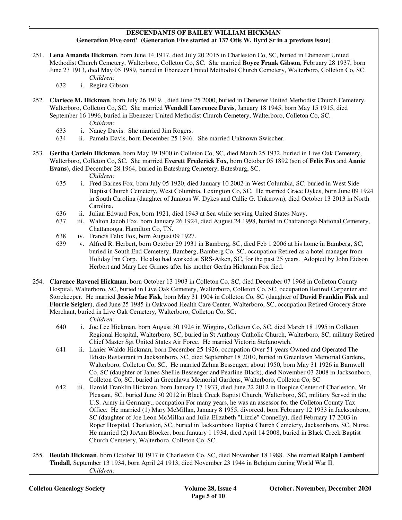# **DESCENDANTS OF BAILEY WILLIAM HICKMAN Generation Five cont' (Generation Five started at 137 Otis W. Byrd Sr in a previous issue)**

- 251. **Lena Amanda Hickman**, born June 14 1917, died July 20 2015 in Charleston Co, SC, buried in Ebenezer United Methodist Church Cemetery, Walterboro, Colleton Co, SC. She married **Boyce Frank Gibson**, February 28 1937, born June 23 1913, died May 05 1989, buried in Ebenezer United Methodist Church Cemetery, Walterboro, Colleton Co, SC. *Children:*
	- 632 i. Regina Gibson.

.

- 252. **Clariece M. Hickman**, born July 26 1919, , died June 25 2000, buried in Ebenezer United Methodist Church Cemetery, Walterboro, Colleton Co, SC. She married **Wendell Lawrence Davis**, January 18 1945, born May 15 1915, died September 16 1996, buried in Ebenezer United Methodist Church Cemetery, Walterboro, Colleton Co, SC. *Children:*
	- 633 i. Nancy Davis. She married Jim Rogers.
	- 634 ii. Pamela Davis, born December 25 1946. She married Unknown Swischer.
- 253. **Gertha Carlein Hickman**, born May 19 1900 in Colleton Co, SC, died March 25 1932, buried in Live Oak Cemetery, Walterboro, Colleton Co, SC. She married **Everett Frederick Fox**, born October 05 1892 (son of **Felix Fox** and **Annie Evans**), died December 28 1964, buried in Batesburg Cemetery, Batesburg, SC.
	- *Children:*
	- 635 i. Fred Barnes Fox, born July 05 1920, died January 10 2002 in West Columbia, SC, buried in West Side Baptist Church Cemetery, West Columbia, Lexington Co, SC. He married Grace Dykes, born June 09 1924 in South Carolina (daughter of Junious W. Dykes and Callie G. Unknown), died October 13 2013 in North Carolina.
	- 636 ii. Julian Edward Fox, born 1921, died 1943 at Sea while serving United States Navy.
	- 637 iii. Walton Jacob Fox, born January 26 1924, died August 24 1998, buried in Chattanooga National Cemetery, Chattanooga, Hamilton Co, TN.
	- 638 iv. Francis Felix Fox, born August 09 1927.
	- 639 v. Alfred R. Herbert, born October 29 1931 in Bamberg, SC, died Feb 1 2006 at his home in Bamberg, SC, buried in South End Cemetery, Bamberg, Bamberg Co, SC, occupation Retired as a hotel manager from Holiday Inn Corp. He also had worked at SRS-Aiken, SC, for the past 25 years. Adopted by John Eidson Herbert and Mary Lee Grimes after his mother Gertha Hickman Fox died.
- 254. **Clarence Ravenel Hickman**, born October 13 1903 in Colleton Co, SC, died December 07 1968 in Colleton County Hospital, Walterboro, SC, buried in Live Oak Cemetery, Walterboro, Colleton Co, SC, occupation Retired Carpenter and Storekeeper. He married **Jessie Mae Fisk**, born May 31 1904 in Colleton Co, SC (daughter of **David Franklin Fisk** and **Florrie Seigler**), died June 25 1985 in Oakwood Health Care Center, Walterboro, SC, occupation Retired Grocery Store Merchant, buried in Live Oak Cemetery, Walterboro, Colleton Co, SC.
	- *Children:*
	- 640 i. Joe Lee Hickman, born August 30 1924 in Wiggins, Colleton Co, SC, died March 18 1995 in Colleton Regional Hospital, Walterboro, SC, buried in St Anthony Catholic Church, Walterboro, SC, military Retired Chief Master Sgt United States Air Force. He married Victoria Stefanowich.
	- 641 ii. Lanier Waldo Hickman, born December 25 1926, occupation Over 51 years Owned and Operated The Edisto Restaurant in Jacksonboro, SC, died September 18 2010, buried in Greenlawn Memorial Gardens, Walterboro, Colleton Co, SC. He married Zelma Bessenger, about 1950, born May 31 1926 in Barnwell Co, SC (daughter of James Shellie Bessenger and Pearline Black), died November 03 2008 in Jacksonboro, Colleton Co, SC, buried in Greenlawn Memorial Gardens, Walterboro, Colleton Co, SC
	- 642 iii. Harold Franklin Hickman, born January 17 1933, died June 22 2012 in Hospice Center of Charleston, Mt Pleasant, SC, buried June 30 2012 in Black Creek Baptist Church, Walterboro, SC, military Served in the U.S. Army in Germany., occupation For many years, he was an assessor for the Colleton County Tax Office. He married (1) Mary McMillan, January 8 1955, divorced, born February 12 1933 in Jacksonboro, SC (daughter of Joe Leon McMillan and Julia Elizabeth "Lizzie" Connelly), died February 17 2003 in Roper Hospital, Charleston, SC, buried in Jacksonboro Baptist Church Cemetery, Jacksonboro, SC, Nurse. He married (2) JoAnn Blocker, born January 1 1934, died April 14 2008, buried in Black Creek Baptist Church Cemetery, Walterboro, Colleton Co, SC.
- 255. **Beulah Hickman**, born October 10 1917 in Charleston Co, SC, died November 18 1988. She married **Ralph Lambert Tindall**, September 13 1934, born April 24 1913, died November 23 1944 in Belgium during World War II, *Children:*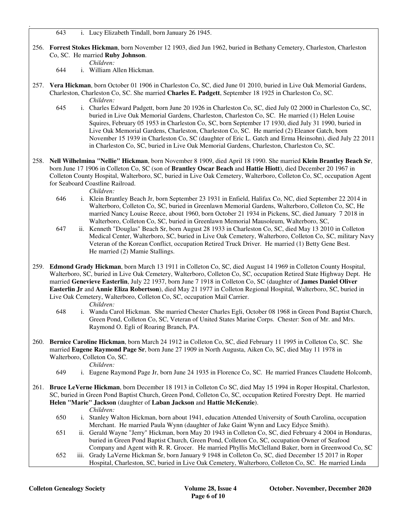643 i. Lucy Elizabeth Tindall, born January 26 1945.

- 256. **Forrest Stokes Hickman**, born November 12 1903, died Jun 1962, buried in Bethany Cemetery, Charleston, Charleston Co, SC. He married **Ruby Johnson**.
	- *Children:*

.

- 644 i. William Allen Hickman.
- 257. **Vera Hickman**, born October 01 1906 in Charleston Co, SC, died June 01 2010, buried in Live Oak Memorial Gardens, Charleston, Charleston Co, SC. She married **Charles E. Padgett**, September 18 1925 in Charleston Co, SC. *Children:*
	- 645 i. Charles Edward Padgett, born June 20 1926 in Charleston Co, SC, died July 02 2000 in Charleston Co, SC, buried in Live Oak Memorial Gardens, Charleston, Charleston Co, SC. He married (1) Helen Louise Squires, February 05 1953 in Charleston Co, SC, born September 17 1930, died July 31 1990, buried in Live Oak Memorial Gardens, Charleston, Charleston Co, SC. He married (2) Eleanor Gatch, born November 15 1939 in Charleston Co, SC (daughter of Eric L. Gatch and Erma Heinsohn), died July 22 2011 in Charleston Co, SC, buried in Live Oak Memorial Gardens, Charleston, Charleston Co, SC.
- 258. **Nell Wilhelmina "Nellie" Hickman**, born November 8 1909, died April 18 1990. She married **Klein Brantley Beach Sr**, born June 17 1906 in Colleton Co, SC (son of **Brantley Oscar Beach** and **Hattie Hiott**), died December 20 1967 in Colleton County Hospital, Walterboro, SC, buried in Live Oak Cemetery, Walterboro, Colleton Co, SC, occupation Agent for Seaboard Coastline Railroad.

*Children:*

- 646 i. Klein Brantley Beach Jr, born September 23 1931 in Enfield, Halifax Co, NC, died September 22 2014 in Walterboro, Colleton Co, SC, buried in Greenlawn Memorial Gardens, Walterboro, Colleton Co, SC, He married Nancy Louise Reece, about 1960, born October 21 1934 in Pickens, SC, died January 7 2018 in Walterboro, Colleton Co, SC, buried in Greenlawn Memorial Mausoleum, Walterboro, SC,
- 647 ii. Kenneth "Douglas" Beach Sr, born August 28 1933 in Charleston Co, SC, died May 13 2010 in Colleton Medical Center, Walterboro, SC, buried in Live Oak Cemetery, Walterboro, Colleton Co, SC, military Navy Veteran of the Korean Conflict, occupation Retired Truck Driver. He married (1) Betty Gene Best. He married (2) Mamie Stallings.
- 259. **Edmond Grady Hickman**, born March 13 1911 in Colleton Co, SC, died August 14 1969 in Colleton County Hospital, Walterboro, SC, buried in Live Oak Cemetery, Walterboro, Colleton Co, SC, occupation Retired State Highway Dept. He married **Genevieve Easterlin**, July 22 1937, born June 7 1918 in Colleton Co, SC (daughter of **James Daniel Oliver Easterlin Jr** and **Annie Eliza Robertson**), died May 21 1977 in Colleton Regional Hospital, Walterboro, SC, buried in Live Oak Cemetery, Walterboro, Colleton Co, SC, occupation Mail Carrier. *Children:*
	- 648 i. Wanda Carol Hickman. She married Chester Charles Egli, October 08 1968 in Green Pond Baptist Church, Green Pond, Colleton Co, SC, Veteran of United States Marine Corps. Chester: Son of Mr. and Mrs. Raymond O. Egli of Roaring Branch, PA.
- 260. **Bernice Caroline Hickman**, born March 24 1912 in Colleton Co, SC, died February 11 1995 in Colleton Co, SC. She married **Eugene Raymond Page Sr**, born June 27 1909 in North Augusta, Aiken Co, SC, died May 11 1978 in Walterboro, Colleton Co, SC.

- *Children:*<br>649 *i.* Eugene R. i. Eugene Raymond Page Jr, born June 24 1935 in Florence Co, SC. He married Frances Claudette Holcomb,
- 261. **Bruce LeVerne Hickman**, born December 18 1913 in Colleton Co SC, died May 15 1994 in Roper Hospital, Charleston, SC, buried in Green Pond Baptist Church, Green Pond, Colleton Co, SC, occupation Retired Forestry Dept. He married **Helen "Marie" Jackson** (daughter of **Laban Jackson** and **Hattie McKenzie**).

#### *Children:*

- 650 i. Stanley Walton Hickman, born about 1941, education Attended University of South Carolina, occupation Merchant. He married Paula Wynn (daughter of Jake Gaint Wynn and Lucy Edyce Smith).
- 651 ii. Gerald Wayne "Jerry" Hickman, born May 20 1943 in Colleton Co, SC, died February 4 2004 in Honduras, buried in Green Pond Baptist Church, Green Pond, Colleton Co, SC, occupation Owner of Seafood Company and Agent with R. R. Grocer. He married Phyllis McClelland Baker, born in Greenwood Co, SC
- 652 iii. Grady LaVerne Hickman Sr, born January 9 1948 in Colleton Co, SC, died December 15 2017 in Roper Hospital, Charleston, SC, buried in Live Oak Cemetery, Walterboro, Colleton Co, SC. He married Linda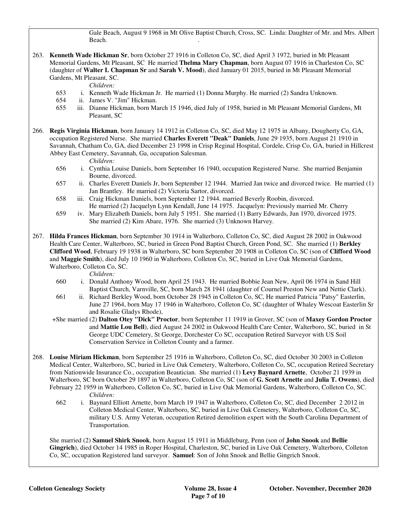Gale Beach, August 9 1968 in Mt Olive Baptist Church, Cross, SC. Linda: Daughter of Mr. and Mrs. Albert Beach.

263. **Kenneth Wade Hickman Sr**, born October 27 1916 in Colleton Co, SC, died April 3 1972, buried in Mt Pleasant Memorial Gardens, Mt Pleasant, SC He married **Thelma Mary Chapman**, born August 07 1916 in Charleston Co, SC (daughter of **Walter I. Chapman Sr** and **Sarah V. Mood**), died January 01 2015, buried in Mt Pleasant Memorial Gardens, Mt Pleasant, SC.

*Children:*

.

- 653 i. Kenneth Wade Hickman Jr. He married (1) Donna Murphy. He married (2) Sandra Unknown.
- 654 ii. James V. "Jim" Hickman.
- 655 iii. Dianne Hickman, born March 15 1946, died July of 1958, buried in Mt Pleasant Memorial Gardens, Mt Pleasant, SC
- 266. **Regis Virginia Hickman**, born January 14 1912 in Colleton Co, SC, died May 12 1975 in Albany, Dougherty Co, GA, occupation Registered Nurse. She married **Charles Everett "Deak" Daniels**, June 29 1935, born August 21 1910 in Savannah, Chatham Co, GA, died December 23 1998 in Crisp Reginal Hospital, Cordele, Crisp Co, GA, buried in Hillcrest Abbey East Cemetery, Savannah, Ga, occupation Salesman.

*Children:*

- 656 i. Cynthia Louise Daniels, born September 16 1940, occupation Registered Nurse. She married Benjamin Bourne, divorced.
- 657 ii. Charles Everett Daniels Jr, born September 12 1944. Married Jan twice and divorced twice. He married (1) Jan Brantley. He married (2) Victoria Sartor, divorced.
- 658 iii. Craig Hickman Daniels, born September 12 1944. married Beverly Roobin, divorced. He married (2) Jacquelyn Lynn Kendall, June 14 1975. Jacquelyn: Previously married Mr. Cherry
- 659 iv. Mary Elizabeth Daniels, born July 5 1951. She married (1) Barry Edwards, Jun 1970, divorced 1975. She married (2) Kim Abare, 1976. She married (3) Unknown Harvey.
- 267. **Hilda Frances Hickman**, born September 30 1914 in Walterboro, Colleton Co, SC, died August 28 2002 in Oakwood Health Care Center, Walterboro, SC, buried in Green Pond Baptist Church, Green Pond, SC. She married (1) **Berkley Clifford Wood**, February 19 1938 in Walterboro, SC born September 20 1908 in Colleton Co, SC (son of **Clifford Wood** and **Maggie Smith**), died July 10 1960 in Walterboro, Colleton Co, SC, buried in Live Oak Memorial Gardens, Walterboro, Colleton Co, SC.

- *Children:*<br>660 *i.* Donald A 660 i. Donald Anthony Wood, born April 25 1943. He married Bobbie Jean New, April 06 1974 in Sand Hill Baptist Church, Varnville, SC, born March 28 1941 (daughter of Cournel Preston New and Nettie Clark).
- 661 ii. Richard Berkley Wood, born October 28 1945 in Colleton Co, SC, He married Patricia "Patsy" Easterlin, June 27 1964, born May 17 1946 in Walterboro, Colleton Co, SC (daughter of Whaley Wescoat Easterlin Sr and Rosalie Gladys Rhode),
- +She married (2) **Dalton Otey "Dick" Proctor**, born September 11 1919 in Grover, SC (son of **Maxey Gordon Proctor** and **Mattie Lou Bell**), died August 24 2002 in Oakwood Health Care Center, Walterboro, SC, buried in St George UDC Cemetery, St George, Dorchester Co SC, occupation Retired Surveyor with US Soil Conservation Service in Colleton County and a farmer.
- 268. **Louise Miriam Hickman**, born September 25 1916 in Walterboro, Colleton Co, SC, died October 30 2003 in Colleton Medical Center, Walterboro, SC, buried in Live Oak Cemetery, Walterboro, Colleton Co, SC, occupation Retired Secretary from Nationwide Insurance Co., occupation Beautician. She married (1) **Levy Baynard Arnette**, October 21 1939 in Walterboro, SC born October 29 1897 in Walterboro, Colleton Co, SC (son of **G. Scott Arnette** and **Julia T. Owens**), died February 22 1959 in Walterboro, Colleton Co, SC, buried in Live Oak Memorial Gardens, Walterboro, Colleton Co, SC. *Children:*
	- 662 i. Baynard Elliott Arnette, born March 19 1947 in Walterboro, Colleton Co, SC, died December 2 2012 in Colleton Medical Center, Walterboro, SC, buried in Live Oak Cemetery, Walterboro, Colleton Co, SC, military U.S. Army Veteran, occupation Retired demolition expert with the South Carolina Department of Transportation.

 She married (2) **Samuel Shirk Snook**, born August 15 1911 in Middleburg, Penn (son of **John Snook** and **Bellie Gingrich**), died October 14 1985 in Roper Hospital, Charleston, SC, buried in Live Oak Cemetery, Walterboro, Colleton Co, SC, occupation Registered land surveyor. **Samuel**: Son of John Snook and Bellie Gingrich Snook.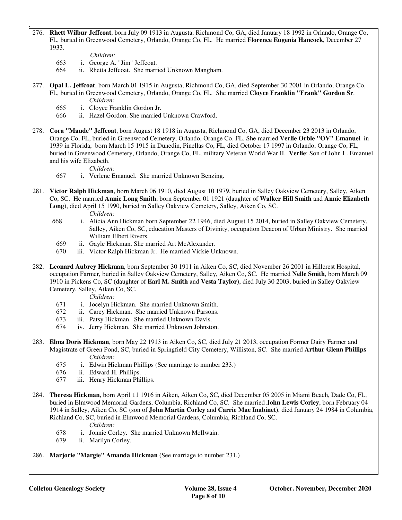- 276. **Rhett Wilbur Jeffcoat**, born July 09 1913 in Augusta, Richmond Co, GA, died January 18 1992 in Orlando, Orange Co, FL, buried in Greenwood Cemetery, Orlando, Orange Co, FL. He married **Florence Eugenia Hancock**, December 27 1933.
	- *Children:*

.

- 663 i. George A. "Jim" Jeffcoat.
- 664 ii. Rhetta Jeffcoat. She married Unknown Mangham.
- 277. **Opal L. Jeffcoat**, born March 01 1915 in Augusta, Richmond Co, GA, died September 30 2001 in Orlando, Orange Co, FL, buried in Greenwood Cemetery, Orlando, Orange Co, FL. She married **Cloyce Franklin "Frank" Gordon Sr**. *Children:*
	- 665 i. Cloyce Franklin Gordon Jr.
	- 666 ii. Hazel Gordon. She married Unknown Crawford.
- 278. **Cora "Maude" Jeffcoat**, born August 18 1918 in Augusta, Richmond Co, GA, died December 23 2013 in Orlando, Orange Co, FL, buried in Greenwood Cemetery, Orlando, Orange Co, FL. She married **Verlie Orble "OV" Emanuel** in 1939 in Florida, born March 15 1915 in Dunedin, Pinellas Co, FL, died October 17 1997 in Orlando, Orange Co, FL, buried in Greenwood Cemetery, Orlando, Orange Co, FL, military Veteran World War II. **Verlie**: Son of John L. Emanuel and his wife Elizabeth.

# *Children:*

- 667 i. Verlene Emanuel. She married Unknown Benzing.
- 281. **Victor Ralph Hickman**, born March 06 1910, died August 10 1979, buried in Salley Oakview Cemetery, Salley, Aiken Co, SC. He married **Annie Long Smith**, born September 01 1921 (daughter of **Walker Hill Smith** and **Annie Elizabeth Long**), died April 15 1990, buried in Salley Oakview Cemetery, Salley, Aiken Co, SC. *Children:* 
	-
	- *6*68 i. Alicia Ann Hickman born September 22 1946, died August 15 2014, buried in Salley Oakview Cemetery, Salley, Aiken Co, SC, education Masters of Divinity, occupation Deacon of Urban Ministry. She married William Elbert Rivers.
	- 669 ii. Gayle Hickman. She married Art McAlexander.
	- 670 iii. Victor Ralph Hickman Jr. He married Vickie Unknown.
- 282. **Leonard Aubrey Hickman**, born September 30 1911 in Aiken Co, SC, died November 26 2001 in Hillcrest Hospital, occupation Farmer, buried in Salley Oakview Cemetery, Salley, Aiken Co, SC. He married **Nelle Smith**, born March 09 1910 in Pickens Co, SC (daughter of **Earl M. Smith** and **Vesta Taylor**), died July 30 2003, buried in Salley Oakview Cemetery, Salley, Aiken Co, SC.
	- *Children:*
	- 671 i. Jocelyn Hickman. She married Unknown Smith.
	- 672 ii. Carey Hickman. She married Unknown Parsons.
	- 673 iii. Patsy Hickman. She married Unknown Davis.
	- 674 iv. Jerry Hickman. She married Unknown Johnston.
- 283. **Elma Doris Hickman**, born May 22 1913 in Aiken Co, SC, died July 21 2013, occupation Former Dairy Farmer and Magistrate of Green Pond, SC, buried in Springfield City Cemetery, Williston, SC. She married **Arthur Glenn Phillips** *Children:*
	- 675 i. Edwin Hickman Phillips (See marriage to number 233.) 676 ii. Edward H. Phillips.
	- ii. Edward H. Phillips. .
	- 677 iii. Henry Hickman Phillips.
- 284. **Theresa Hickman**, born April 11 1916 in Aiken, Aiken Co, SC, died December 05 2005 in Miami Beach, Dade Co, FL, buried in Elmwood Memorial Gardens, Columbia, Richland Co, SC. She married **John Lewis Corley**, born February 04 1914 in Salley, Aiken Co, SC (son of **John Martin Corley** and **Carrie Mae Inabinet**), died January 24 1984 in Columbia, Richland Co, SC, buried in Elmwood Memorial Gardens, Columbia, Richland Co, SC.

*Children:*

- 678 i. Jonnie Corley. She married Unknown McIlwain.
- ii. Marilyn Corley.
- 286. **Marjorie "Margie" Amanda Hickman** (See marriage to number 231.)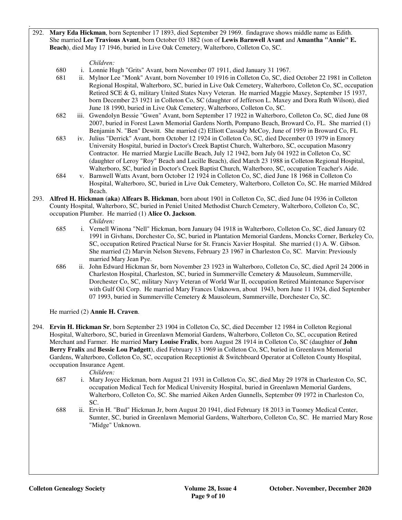292. **Mary Eda Hickman**, born September 17 1893, died September 29 1969. findagrave shows middle name as Edith. She married **Lee Travious Avant**, born October 03 1882 (son of **Lewis Barnwell Avant** and **Amantha "Annie" E. Beach**), died May 17 1946, buried in Live Oak Cemetery, Walterboro, Colleton Co, SC.

# *Children:*

.

- 680 i. Lonnie Hugh "Grits" Avant, born November 07 1911, died January 31 1967.
- 681 ii. Mylnor Lee "Monk" Avant, born November 10 1916 in Colleton Co, SC, died October 22 1981 in Colleton Regional Hospital, Walterboro, SC, buried in Live Oak Cemetery, Walterboro, Colleton Co, SC, occupation Retired SCE & G, military United States Navy Veteran. He married Maggie Maxey, September 15 1937, born December 23 1921 in Colleton Co, SC (daughter of Jefferson L. Maxey and Dora Ruth Wilson), died June 18 1990, buried in Live Oak Cemetery, Walterboro, Colleton Co, SC.
- 682 iii. Gwendolyn Bessie "Gwen" Avant, born September 17 1922 in Walterboro, Colleton Co, SC, died June 08 2007, buried in Forest Lawn Memorial Gardens North, Pompano Beach, Broward Co, FL. She married (1) Benjamin N. "Ben" Dewitt. She married (2) Elliott Cassady McCoy, June of 1959 in Broward Co, FL
- 683 iv. Julius "Derrick" Avant, born October 12 1924 in Colleton Co, SC, died December 03 1979 in Emory University Hospital, buried in Doctor's Creek Baptist Church, Walterboro, SC, occupation Masonry Contractor. He married Margie Lucille Beach, July 12 1942, born July 04 1922 in Colleton Co, SC (daughter of Leroy "Roy" Beach and Lucille Beach), died March 23 1988 in Colleton Regional Hospital, Walterboro, SC, buried in Doctor's Creek Baptist Church, Walterboro, SC, occupation Teacher's Aide.
- 684 v. Barnwell Watts Avant, born October 12 1924 in Colleton Co, SC, died June 18 1968 in Colleton Co Hospital, Walterboro, SC, buried in Live Oak Cemetery, Walterboro, Colleton Co, SC. He married Mildred Beach.
- 293. **Alfred H. Hickman (aka) Alfears B. Hickman**, born about 1901 in Colleton Co, SC, died June 04 1936 in Colleton County Hospital, Walterboro, SC, buried in Peniel United Methodist Church Cemetery, Walterboro, Colleton Co, SC, occupation Plumber. He married (1) **Alice O. Jackson**.

*Children:*

- 685 i. Vernell Winona "Nell" Hickman, born January 04 1918 in Walterboro, Colleton Co, SC, died January 02 1991 in Givhans, Dorchester Co, SC, buried in Plantation Memorial Gardens, Moncks Corner, Berkeley Co, SC, occupation Retired Practical Nurse for St. Francis Xavier Hospital. She married (1) A. W. Gibson. She married (2) Marvin Nelson Stevens, February 23 1967 in Charleston Co, SC. Marvin: Previously married Mary Jean Pye.
- 686 ii. John Edward Hickman Sr, born November 23 1923 in Walterboro, Colleton Co, SC, died April 24 2006 in Charleston Hospital, Charleston, SC, buried in Summerville Cemetery & Mausoleum, Summerville, Dorchester Co, SC, military Navy Veteran of World War II, occupation Retired Maintenance Supervisor with Gulf Oil Corp. He married Mary Frances Unknown, about 1943, born June 11 1924, died September 07 1993, buried in Summerville Cemetery & Mausoleum, Summerville, Dorchester Co, SC.

He married (2) **Annie H. Craven**.

294. **Ervin H. Hickman Sr**, born September 23 1904 in Colleton Co, SC, died December 12 1984 in Colleton Regional Hospital, Walterboro, SC, buried in Greenlawn Memorial Gardens, Walterboro, Colleton Co, SC, occupation Retired Merchant and Farmer. He married **Mary Louise Fralix**, born August 28 1914 in Colleton Co, SC (daughter of **John Berry Fralix** and **Bessie Lou Padgett**), died February 13 1969 in Colleton Co, SC, buried in Greenlawn Memorial Gardens, Walterboro, Colleton Co, SC, occupation Receptionist & Switchboard Operator at Colleton County Hospital, occupation Insurance Agent.

*Children:*

- 687 i. Mary Joyce Hickman, born August 21 1931 in Colleton Co, SC, died May 29 1978 in Charleston Co, SC, occupation Medical Tech for Medical University Hospital, buried in Greenlawn Memorial Gardens, Walterboro, Colleton Co, SC. She married Aiken Arden Gunnells, September 09 1972 in Charleston Co, SC.
- 688 ii. Ervin H. "Bud" Hickman Jr, born August 20 1941, died February 18 2013 in Tuomey Medical Center, Sumter, SC, buried in Greenlawn Memorial Gardens, Walterboro, Colleton Co, SC. He married Mary Rose "Midge" Unknown.